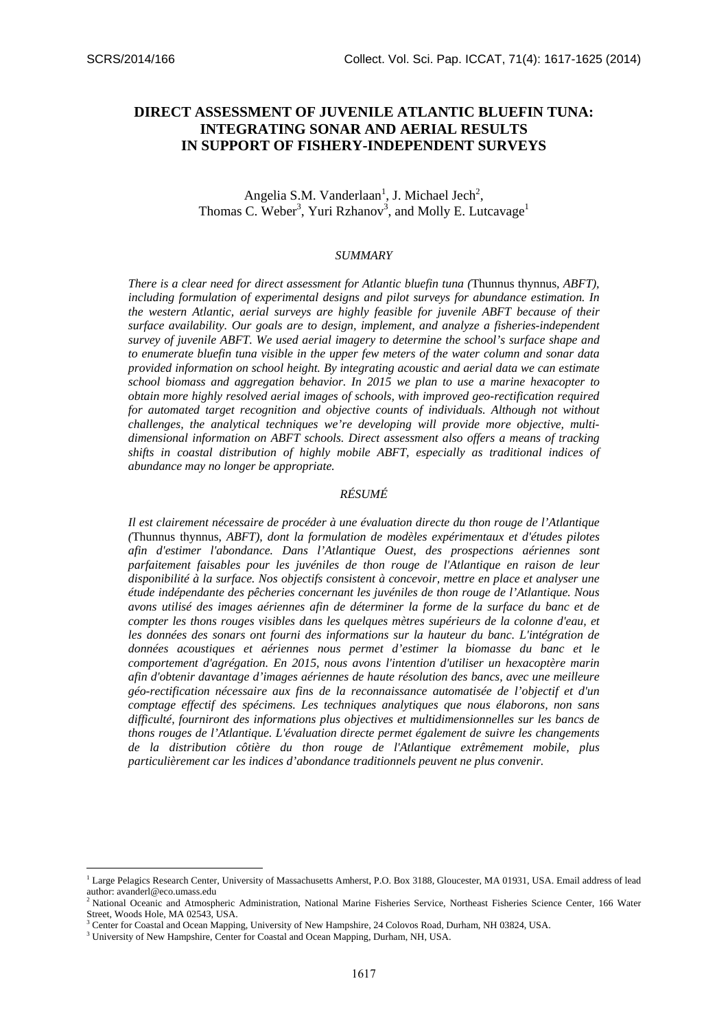# **DIRECT ASSESSMENT OF JUVENILE ATLANTIC BLUEFIN TUNA: INTEGRATING SONAR AND AERIAL RESULTS IN SUPPORT OF FISHERY-INDEPENDENT SURVEYS**

## Angelia S.M. Vanderlaan<sup>1</sup>, J. Michael Jech<sup>2</sup>, Thomas C. Weber<sup>3</sup>, Yuri Rzhanov<sup>3</sup>, and Molly E. Lutcavage<sup>1</sup>

#### *SUMMARY*

*There is a clear need for direct assessment for Atlantic bluefin tuna (*Thunnus thynnus*, ABFT), including formulation of experimental designs and pilot surveys for abundance estimation. In the western Atlantic, aerial surveys are highly feasible for juvenile ABFT because of their surface availability. Our goals are to design, implement, and analyze a fisheries-independent survey of juvenile ABFT. We used aerial imagery to determine the school's surface shape and to enumerate bluefin tuna visible in the upper few meters of the water column and sonar data provided information on school height. By integrating acoustic and aerial data we can estimate school biomass and aggregation behavior. In 2015 we plan to use a marine hexacopter to obtain more highly resolved aerial images of schools, with improved geo-rectification required for automated target recognition and objective counts of individuals. Although not without challenges, the analytical techniques we're developing will provide more objective, multidimensional information on ABFT schools. Direct assessment also offers a means of tracking shifts in coastal distribution of highly mobile ABFT, especially as traditional indices of abundance may no longer be appropriate.* 

### *RÉSUMÉ*

*Il est clairement nécessaire de procéder à une évaluation directe du thon rouge de l'Atlantique (*Thunnus thynnus, *ABFT), dont la formulation de modèles expérimentaux et d'études pilotes afin d'estimer l'abondance. Dans l'Atlantique Ouest, des prospections aériennes sont parfaitement faisables pour les juvéniles de thon rouge de l'Atlantique en raison de leur disponibilité à la surface. Nos objectifs consistent à concevoir, mettre en place et analyser une étude indépendante des pêcheries concernant les juvéniles de thon rouge de l'Atlantique. Nous avons utilisé des images aériennes afin de déterminer la forme de la surface du banc et de compter les thons rouges visibles dans les quelques mètres supérieurs de la colonne d'eau, et* les données des sonars ont fourni des informations sur la hauteur du banc. L'intégration de *données acoustiques et aériennes nous permet d'estimer la biomasse du banc et le comportement d'agrégation. En 2015, nous avons l'intention d'utiliser un hexacoptère marin afin d'obtenir davantage d'images aériennes de haute résolution des bancs, avec une meilleure géo-rectification nécessaire aux fins de la reconnaissance automatisée de l'objectif et d'un comptage effectif des spécimens. Les techniques analytiques que nous élaborons, non sans difficulté, fourniront des informations plus objectives et multidimensionnelles sur les bancs de thons rouges de l'Atlantique. L'évaluation directe permet également de suivre les changements de la distribution côtière du thon rouge de l'Atlantique extrêmement mobile, plus particulièrement car les indices d'abondance traditionnels peuvent ne plus convenir.* 

<sup>&</sup>lt;sup>1</sup> Large Pelagics Research Center, University of Massachusetts Amherst, P.O. Box 3188, Gloucester, MA 01931, USA. Email address of lead author: avanderl@eco.umass.edu

<sup>&</sup>lt;sup>2</sup> National Oceanic and Atmospheric Administration, National Marine Fisheries Service, Northeast Fisheries Science Center, 166 Water Street, Woods Hole, MA 02543, USA.

<sup>3</sup> Center for Coastal and Ocean Mapping, University of New Hampshire, 24 Colovos Road, Durham, NH 03824, USA. 3

<sup>&</sup>lt;sup>3</sup> University of New Hampshire, Center for Coastal and Ocean Mapping, Durham, NH, USA.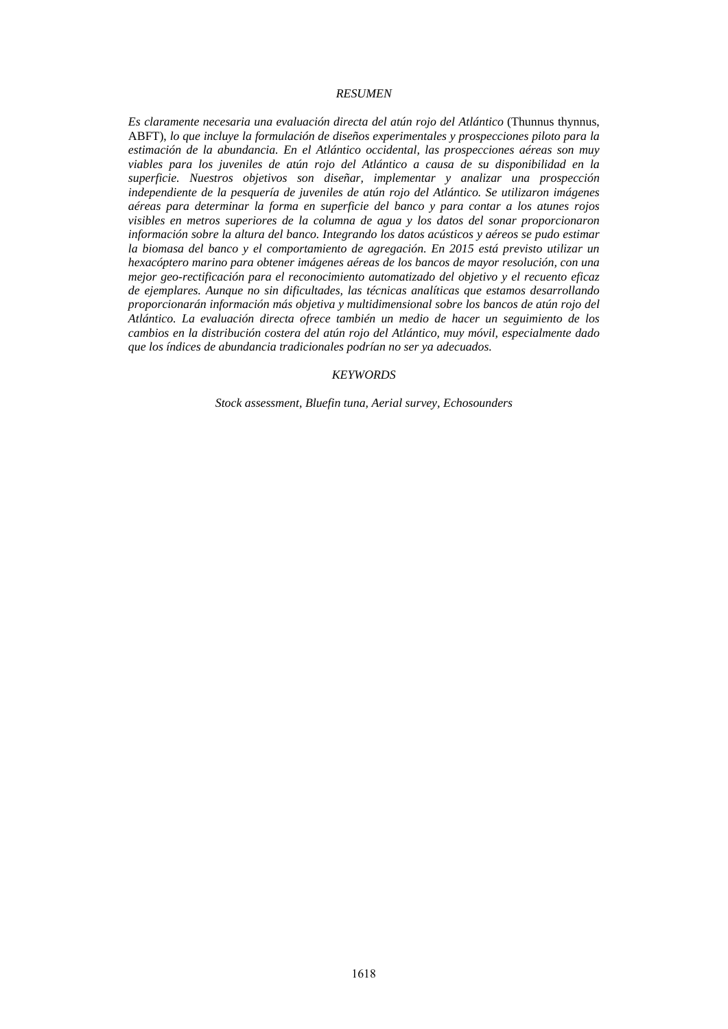### *RESUMEN*

*Es claramente necesaria una evaluación directa del atún rojo del Atlántico* (Thunnus thynnus, ABFT), *lo que incluye la formulación de diseños experimentales y prospecciones piloto para la estimación de la abundancia. En el Atlántico occidental, las prospecciones aéreas son muy viables para los juveniles de atún rojo del Atlántico a causa de su disponibilidad en la superficie. Nuestros objetivos son diseñar, implementar y analizar una prospección independiente de la pesquería de juveniles de atún rojo del Atlántico. Se utilizaron imágenes aéreas para determinar la forma en superficie del banco y para contar a los atunes rojos visibles en metros superiores de la columna de agua y los datos del sonar proporcionaron información sobre la altura del banco. Integrando los datos acústicos y aéreos se pudo estimar la biomasa del banco y el comportamiento de agregación. En 2015 está previsto utilizar un hexacóptero marino para obtener imágenes aéreas de los bancos de mayor resolución, con una mejor geo-rectificación para el reconocimiento automatizado del objetivo y el recuento eficaz de ejemplares. Aunque no sin dificultades, las técnicas analíticas que estamos desarrollando proporcionarán información más objetiva y multidimensional sobre los bancos de atún rojo del Atlántico. La evaluación directa ofrece también un medio de hacer un seguimiento de los cambios en la distribución costera del atún rojo del Atlántico, muy móvil, especialmente dado que los índices de abundancia tradicionales podrían no ser ya adecuados.* 

#### *KEYWORDS*

*Stock assessment, Bluefin tuna, Aerial survey, Echosounders*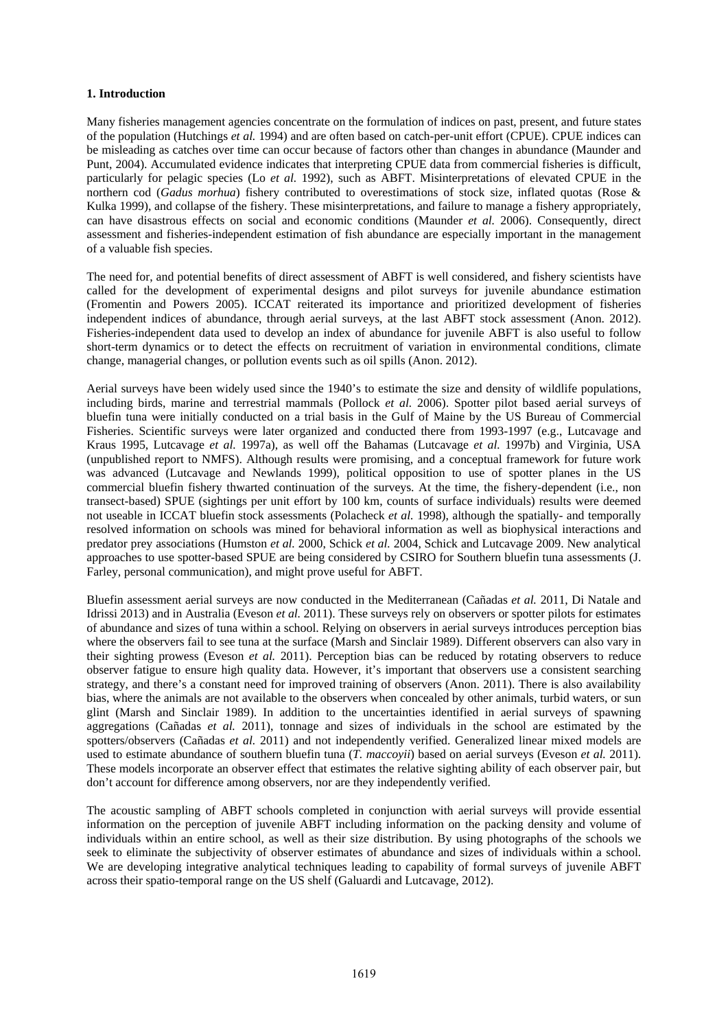#### **1. Introduction**

Many fisheries management agencies concentrate on the formulation of indices on past, present, and future states of the population (Hutchings *et al.* 1994) and are often based on catch-per-unit effort (CPUE). CPUE indices can be misleading as catches over time can occur because of factors other than changes in abundance (Maunder and Punt, 2004). Accumulated evidence indicates that interpreting CPUE data from commercial fisheries is difficult, particularly for pelagic species (Lo *et al.* 1992), such as ABFT. Misinterpretations of elevated CPUE in the northern cod (*Gadus morhua*) fishery contributed to overestimations of stock size, inflated quotas (Rose & Kulka 1999), and collapse of the fishery. These misinterpretations, and failure to manage a fishery appropriately, can have disastrous effects on social and economic conditions (Maunder *et al.* 2006). Consequently, direct assessment and fisheries-independent estimation of fish abundance are especially important in the management of a valuable fish species.

The need for, and potential benefits of direct assessment of ABFT is well considered, and fishery scientists have called for the development of experimental designs and pilot surveys for juvenile abundance estimation (Fromentin and Powers 2005). ICCAT reiterated its importance and prioritized development of fisheries independent indices of abundance, through aerial surveys, at the last ABFT stock assessment (Anon. 2012). Fisheries-independent data used to develop an index of abundance for juvenile ABFT is also useful to follow short-term dynamics or to detect the effects on recruitment of variation in environmental conditions, climate change, managerial changes, or pollution events such as oil spills (Anon. 2012).

Aerial surveys have been widely used since the 1940's to estimate the size and density of wildlife populations, including birds, marine and terrestrial mammals (Pollock *et al.* 2006). Spotter pilot based aerial surveys of bluefin tuna were initially conducted on a trial basis in the Gulf of Maine by the US Bureau of Commercial Fisheries. Scientific surveys were later organized and conducted there from 1993-1997 (e.g., Lutcavage and Kraus 1995, Lutcavage *et al.* 1997a), as well off the Bahamas (Lutcavage *et al.* 1997b) and Virginia, USA (unpublished report to NMFS). Although results were promising, and a conceptual framework for future work was advanced (Lutcavage and Newlands 1999), political opposition to use of spotter planes in the US commercial bluefin fishery thwarted continuation of the surveys. At the time, the fishery-dependent (i.e., non transect-based) SPUE (sightings per unit effort by 100 km, counts of surface individuals) results were deemed not useable in ICCAT bluefin stock assessments (Polacheck *et al.* 1998), although the spatially- and temporally resolved information on schools was mined for behavioral information as well as biophysical interactions and predator prey associations (Humston *et al.* 2000, Schick *et al.* 2004, Schick and Lutcavage 2009. New analytical approaches to use spotter-based SPUE are being considered by CSIRO for Southern bluefin tuna assessments (J. Farley, personal communication), and might prove useful for ABFT.

Bluefin assessment aerial surveys are now conducted in the Mediterranean (Cañadas *et al.* 2011, Di Natale and Idrissi 2013) and in Australia (Eveson *et al.* 2011). These surveys rely on observers or spotter pilots for estimates of abundance and sizes of tuna within a school. Relying on observers in aerial surveys introduces perception bias where the observers fail to see tuna at the surface (Marsh and Sinclair 1989). Different observers can also vary in their sighting prowess (Eveson *et al.* 2011). Perception bias can be reduced by rotating observers to reduce observer fatigue to ensure high quality data. However, it's important that observers use a consistent searching strategy, and there's a constant need for improved training of observers (Anon. 2011). There is also availability bias, where the animals are not available to the observers when concealed by other animals, turbid waters, or sun glint (Marsh and Sinclair 1989). In addition to the uncertainties identified in aerial surveys of spawning aggregations (Cañadas *et al.* 2011), tonnage and sizes of individuals in the school are estimated by the spotters/observers (Cañadas *et al.* 2011) and not independently verified. Generalized linear mixed models are used to estimate abundance of southern bluefin tuna (*T. maccoyii*) based on aerial surveys (Eveson *et al.* 2011). These models incorporate an observer effect that estimates the relative sighting ability of each observer pair, but don't account for difference among observers, nor are they independently verified.

The acoustic sampling of ABFT schools completed in conjunction with aerial surveys will provide essential information on the perception of juvenile ABFT including information on the packing density and volume of individuals within an entire school, as well as their size distribution. By using photographs of the schools we seek to eliminate the subjectivity of observer estimates of abundance and sizes of individuals within a school. We are developing integrative analytical techniques leading to capability of formal surveys of juvenile ABFT across their spatio-temporal range on the US shelf (Galuardi and Lutcavage, 2012).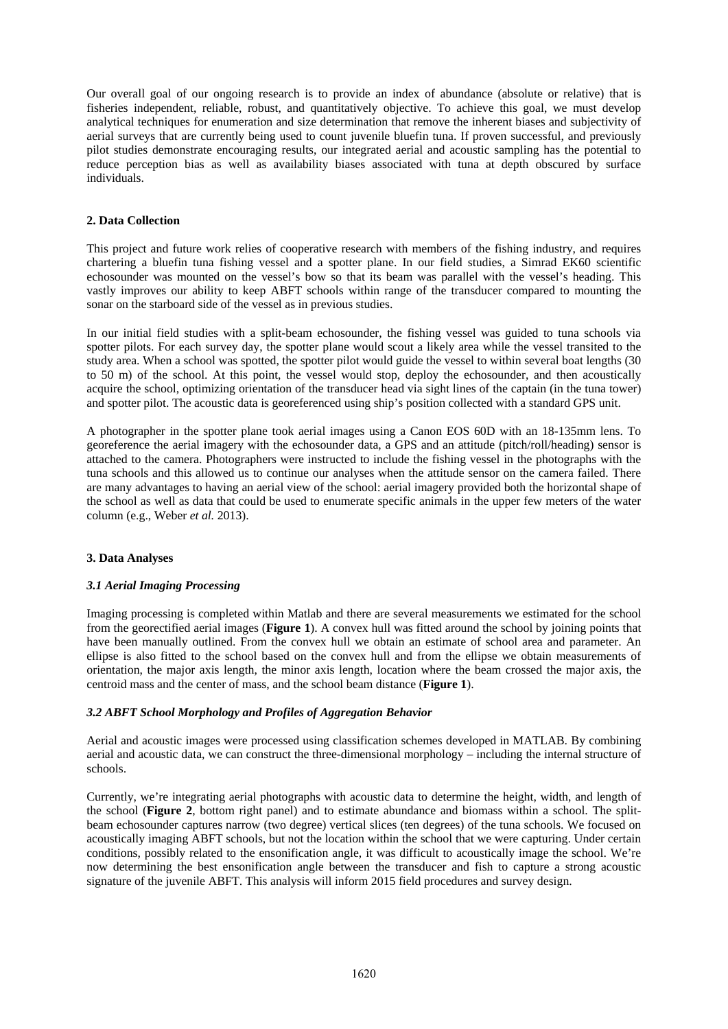Our overall goal of our ongoing research is to provide an index of abundance (absolute or relative) that is fisheries independent, reliable, robust, and quantitatively objective. To achieve this goal, we must develop analytical techniques for enumeration and size determination that remove the inherent biases and subjectivity of aerial surveys that are currently being used to count juvenile bluefin tuna. If proven successful, and previously pilot studies demonstrate encouraging results, our integrated aerial and acoustic sampling has the potential to reduce perception bias as well as availability biases associated with tuna at depth obscured by surface individuals.

### **2. Data Collection**

This project and future work relies of cooperative research with members of the fishing industry, and requires chartering a bluefin tuna fishing vessel and a spotter plane. In our field studies, a Simrad EK60 scientific echosounder was mounted on the vessel's bow so that its beam was parallel with the vessel's heading. This vastly improves our ability to keep ABFT schools within range of the transducer compared to mounting the sonar on the starboard side of the vessel as in previous studies.

In our initial field studies with a split-beam echosounder, the fishing vessel was guided to tuna schools via spotter pilots. For each survey day, the spotter plane would scout a likely area while the vessel transited to the study area. When a school was spotted, the spotter pilot would guide the vessel to within several boat lengths (30 to 50 m) of the school. At this point, the vessel would stop, deploy the echosounder, and then acoustically acquire the school, optimizing orientation of the transducer head via sight lines of the captain (in the tuna tower) and spotter pilot. The acoustic data is georeferenced using ship's position collected with a standard GPS unit.

A photographer in the spotter plane took aerial images using a Canon EOS 60D with an 18-135mm lens. To georeference the aerial imagery with the echosounder data, a GPS and an attitude (pitch/roll/heading) sensor is attached to the camera. Photographers were instructed to include the fishing vessel in the photographs with the tuna schools and this allowed us to continue our analyses when the attitude sensor on the camera failed. There are many advantages to having an aerial view of the school: aerial imagery provided both the horizontal shape of the school as well as data that could be used to enumerate specific animals in the upper few meters of the water column (e.g., Weber *et al.* 2013).

### **3. Data Analyses**

### *3.1 Aerial Imaging Processing*

Imaging processing is completed within Matlab and there are several measurements we estimated for the school from the georectified aerial images (**Figure 1**). A convex hull was fitted around the school by joining points that have been manually outlined. From the convex hull we obtain an estimate of school area and parameter. An ellipse is also fitted to the school based on the convex hull and from the ellipse we obtain measurements of orientation, the major axis length, the minor axis length, location where the beam crossed the major axis, the centroid mass and the center of mass, and the school beam distance (**Figure 1**).

### *3.2 ABFT School Morphology and Profiles of Aggregation Behavior*

Aerial and acoustic images were processed using classification schemes developed in MATLAB. By combining aerial and acoustic data, we can construct the three-dimensional morphology – including the internal structure of schools.

Currently, we're integrating aerial photographs with acoustic data to determine the height, width, and length of the school (**Figure 2**, bottom right panel) and to estimate abundance and biomass within a school. The splitbeam echosounder captures narrow (two degree) vertical slices (ten degrees) of the tuna schools. We focused on acoustically imaging ABFT schools, but not the location within the school that we were capturing. Under certain conditions, possibly related to the ensonification angle, it was difficult to acoustically image the school. We're now determining the best ensonification angle between the transducer and fish to capture a strong acoustic signature of the juvenile ABFT. This analysis will inform 2015 field procedures and survey design.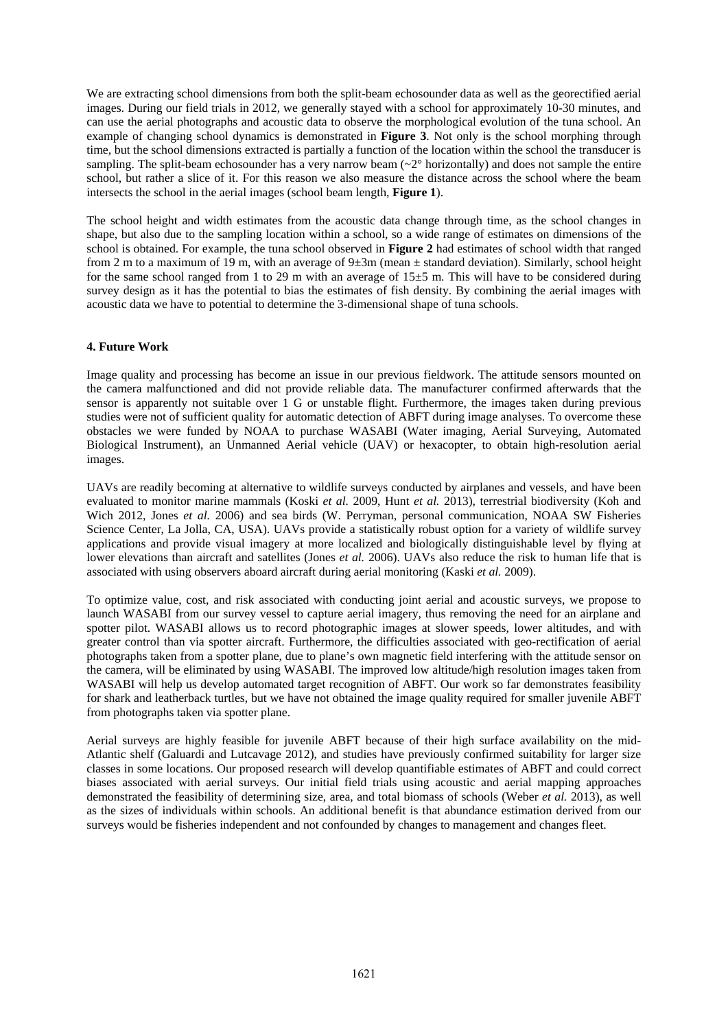We are extracting school dimensions from both the split-beam echosounder data as well as the georectified aerial images. During our field trials in 2012, we generally stayed with a school for approximately 10-30 minutes, and can use the aerial photographs and acoustic data to observe the morphological evolution of the tuna school. An example of changing school dynamics is demonstrated in **Figure 3**. Not only is the school morphing through time, but the school dimensions extracted is partially a function of the location within the school the transducer is sampling. The split-beam echosounder has a very narrow beam  $(\sim 2^{\circ}$  horizontally) and does not sample the entire school, but rather a slice of it. For this reason we also measure the distance across the school where the beam intersects the school in the aerial images (school beam length, **Figure 1**).

The school height and width estimates from the acoustic data change through time, as the school changes in shape, but also due to the sampling location within a school, so a wide range of estimates on dimensions of the school is obtained. For example, the tuna school observed in **Figure 2** had estimates of school width that ranged from 2 m to a maximum of 19 m, with an average of  $9\pm 3m$  (mean  $\pm$  standard deviation). Similarly, school height for the same school ranged from 1 to 29 m with an average of 15±5 m. This will have to be considered during survey design as it has the potential to bias the estimates of fish density. By combining the aerial images with acoustic data we have to potential to determine the 3-dimensional shape of tuna schools.

## **4. Future Work**

Image quality and processing has become an issue in our previous fieldwork. The attitude sensors mounted on the camera malfunctioned and did not provide reliable data. The manufacturer confirmed afterwards that the sensor is apparently not suitable over 1 G or unstable flight. Furthermore, the images taken during previous studies were not of sufficient quality for automatic detection of ABFT during image analyses. To overcome these obstacles we were funded by NOAA to purchase WASABI (Water imaging, Aerial Surveying, Automated Biological Instrument), an Unmanned Aerial vehicle (UAV) or hexacopter, to obtain high-resolution aerial images.

UAVs are readily becoming at alternative to wildlife surveys conducted by airplanes and vessels, and have been evaluated to monitor marine mammals (Koski *et al.* 2009, Hunt *et al.* 2013), terrestrial biodiversity (Koh and Wich 2012, Jones *et al.* 2006) and sea birds (W. Perryman, personal communication, NOAA SW Fisheries Science Center, La Jolla, CA, USA). UAVs provide a statistically robust option for a variety of wildlife survey applications and provide visual imagery at more localized and biologically distinguishable level by flying at lower elevations than aircraft and satellites (Jones *et al.* 2006). UAVs also reduce the risk to human life that is associated with using observers aboard aircraft during aerial monitoring (Kaski *et al.* 2009).

To optimize value, cost, and risk associated with conducting joint aerial and acoustic surveys, we propose to launch WASABI from our survey vessel to capture aerial imagery, thus removing the need for an airplane and spotter pilot. WASABI allows us to record photographic images at slower speeds, lower altitudes, and with greater control than via spotter aircraft. Furthermore, the difficulties associated with geo-rectification of aerial photographs taken from a spotter plane, due to plane's own magnetic field interfering with the attitude sensor on the camera, will be eliminated by using WASABI. The improved low altitude/high resolution images taken from WASABI will help us develop automated target recognition of ABFT. Our work so far demonstrates feasibility for shark and leatherback turtles, but we have not obtained the image quality required for smaller juvenile ABFT from photographs taken via spotter plane.

Aerial surveys are highly feasible for juvenile ABFT because of their high surface availability on the mid-Atlantic shelf (Galuardi and Lutcavage 2012), and studies have previously confirmed suitability for larger size classes in some locations. Our proposed research will develop quantifiable estimates of ABFT and could correct biases associated with aerial surveys. Our initial field trials using acoustic and aerial mapping approaches demonstrated the feasibility of determining size, area, and total biomass of schools (Weber *et al.* 2013), as well as the sizes of individuals within schools. An additional benefit is that abundance estimation derived from our surveys would be fisheries independent and not confounded by changes to management and changes fleet.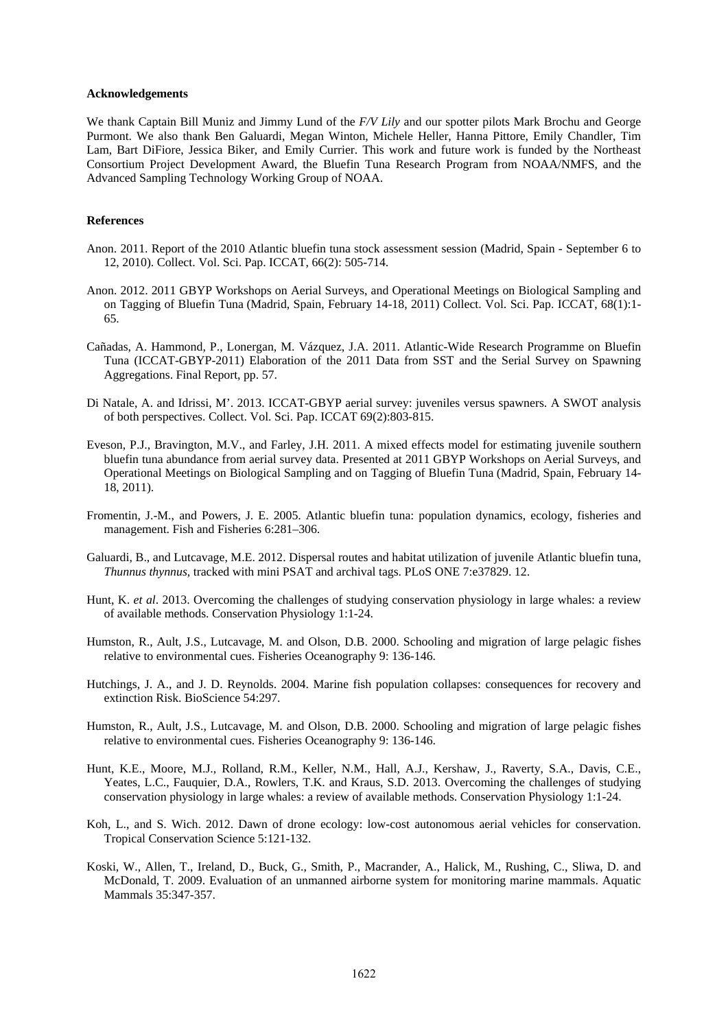#### **Acknowledgements**

We thank Captain Bill Muniz and Jimmy Lund of the *F/V Lily* and our spotter pilots Mark Brochu and George Purmont. We also thank Ben Galuardi, Megan Winton, Michele Heller, Hanna Pittore, Emily Chandler, Tim Lam, Bart DiFiore, Jessica Biker, and Emily Currier. This work and future work is funded by the Northeast Consortium Project Development Award, the Bluefin Tuna Research Program from NOAA/NMFS, and the Advanced Sampling Technology Working Group of NOAA.

#### **References**

- Anon. 2011. Report of the 2010 Atlantic bluefin tuna stock assessment session (Madrid, Spain September 6 to 12, 2010). Collect. Vol. Sci. Pap. ICCAT, 66(2): 505-714.
- Anon. 2012. 2011 GBYP Workshops on Aerial Surveys, and Operational Meetings on Biological Sampling and on Tagging of Bluefin Tuna (Madrid, Spain, February 14-18, 2011) Collect. Vol. Sci. Pap. ICCAT, 68(1):1- 65.
- Cañadas, A. Hammond, P., Lonergan, M. Vázquez, J.A. 2011. Atlantic-Wide Research Programme on Bluefin Tuna (ICCAT-GBYP-2011) Elaboration of the 2011 Data from SST and the Serial Survey on Spawning Aggregations. Final Report, pp. 57.
- Di Natale, A. and Idrissi, M'. 2013. ICCAT-GBYP aerial survey: juveniles versus spawners. A SWOT analysis of both perspectives. Collect. Vol. Sci. Pap. ICCAT 69(2):803-815.
- Eveson, P.J., Bravington, M.V., and Farley, J.H. 2011. A mixed effects model for estimating juvenile southern bluefin tuna abundance from aerial survey data. Presented at 2011 GBYP Workshops on Aerial Surveys, and Operational Meetings on Biological Sampling and on Tagging of Bluefin Tuna (Madrid, Spain, February 14- 18, 2011).
- Fromentin, J.-M., and Powers, J. E. 2005. Atlantic bluefin tuna: population dynamics, ecology, fisheries and management. Fish and Fisheries 6:281–306.
- Galuardi, B., and Lutcavage, M.E. 2012. Dispersal routes and habitat utilization of juvenile Atlantic bluefin tuna, *Thunnus thynnus*, tracked with mini PSAT and archival tags. PLoS ONE 7:e37829. 12.
- Hunt, K. *et al*. 2013. Overcoming the challenges of studying conservation physiology in large whales: a review of available methods. Conservation Physiology 1:1-24.
- Humston, R., Ault, J.S., Lutcavage, M. and Olson, D.B. 2000. Schooling and migration of large pelagic fishes relative to environmental cues. Fisheries Oceanography 9: 136-146.
- Hutchings, J. A., and J. D. Reynolds. 2004. Marine fish population collapses: consequences for recovery and extinction Risk. BioScience 54:297.
- Humston, R., Ault, J.S., Lutcavage, M. and Olson, D.B. 2000. Schooling and migration of large pelagic fishes relative to environmental cues. Fisheries Oceanography 9: 136-146.
- Hunt, K.E., Moore, M.J., Rolland, R.M., Keller, N.M., Hall, A.J., Kershaw, J., Raverty, S.A., Davis, C.E., Yeates, L.C., Fauquier, D.A., Rowlers, T.K. and Kraus, S.D. 2013. Overcoming the challenges of studying conservation physiology in large whales: a review of available methods. Conservation Physiology 1:1-24.
- Koh, L., and S. Wich. 2012. Dawn of drone ecology: low-cost autonomous aerial vehicles for conservation. Tropical Conservation Science 5:121-132.
- Koski, W., Allen, T., Ireland, D., Buck, G., Smith, P., Macrander, A., Halick, M., Rushing, C., Sliwa, D. and McDonald, T. 2009. Evaluation of an unmanned airborne system for monitoring marine mammals. Aquatic Mammals 35:347-357.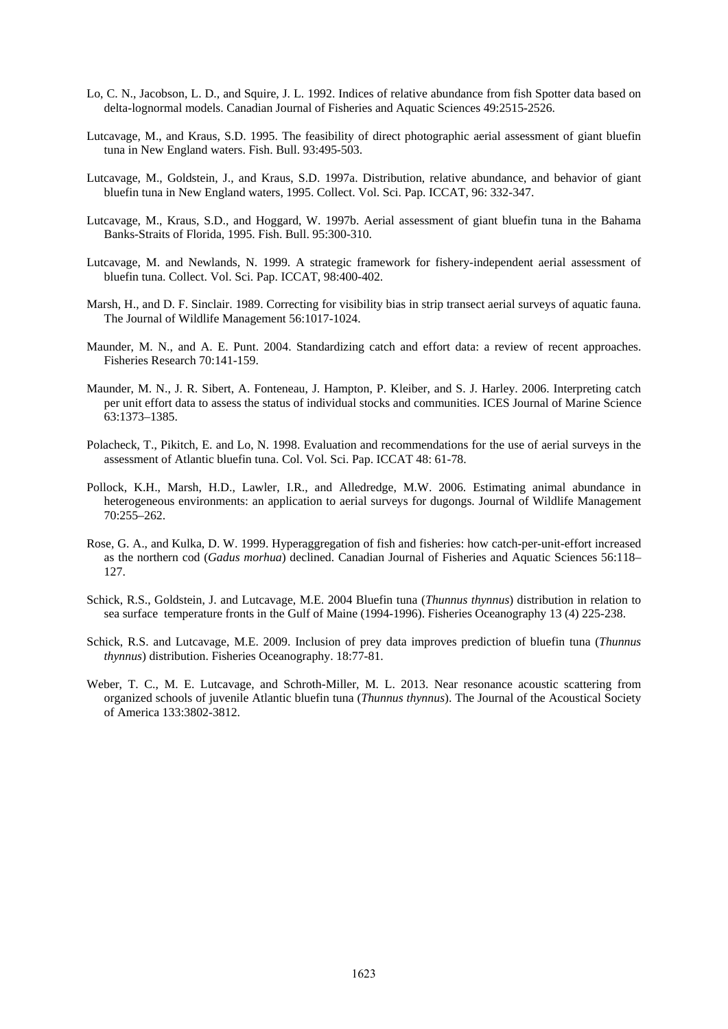- Lo, C. N., Jacobson, L. D., and Squire, J. L. 1992. Indices of relative abundance from fish Spotter data based on delta-lognormal models. Canadian Journal of Fisheries and Aquatic Sciences 49:2515-2526.
- Lutcavage, M., and Kraus, S.D. 1995. The feasibility of direct photographic aerial assessment of giant bluefin tuna in New England waters. Fish. Bull. 93:495-503.
- Lutcavage, M., Goldstein, J., and Kraus, S.D. 1997a. Distribution, relative abundance, and behavior of giant bluefin tuna in New England waters, 1995. Collect. Vol. Sci. Pap. ICCAT, 96: 332-347.
- Lutcavage, M., Kraus, S.D., and Hoggard, W. 1997b. Aerial assessment of giant bluefin tuna in the Bahama Banks-Straits of Florida, 1995. Fish. Bull. 95:300-310.
- Lutcavage, M. and Newlands, N. 1999. A strategic framework for fishery-independent aerial assessment of bluefin tuna. Collect. Vol. Sci. Pap. ICCAT, 98:400-402.
- Marsh, H., and D. F. Sinclair. 1989. Correcting for visibility bias in strip transect aerial surveys of aquatic fauna. The Journal of Wildlife Management 56:1017-1024.
- Maunder, M. N., and A. E. Punt. 2004. Standardizing catch and effort data: a review of recent approaches. Fisheries Research 70:141-159.
- Maunder, M. N., J. R. Sibert, A. Fonteneau, J. Hampton, P. Kleiber, and S. J. Harley. 2006. Interpreting catch per unit effort data to assess the status of individual stocks and communities. ICES Journal of Marine Science 63:1373–1385.
- Polacheck, T., Pikitch, E. and Lo, N. 1998. Evaluation and recommendations for the use of aerial surveys in the assessment of Atlantic bluefin tuna. Col. Vol. Sci. Pap. ICCAT 48: 61-78.
- Pollock, K.H., Marsh, H.D., Lawler, I.R., and Alledredge, M.W. 2006. Estimating animal abundance in heterogeneous environments: an application to aerial surveys for dugongs. Journal of Wildlife Management 70:255–262.
- Rose, G. A., and Kulka, D. W. 1999. Hyperaggregation of fish and fisheries: how catch-per-unit-effort increased as the northern cod (*Gadus morhua*) declined. Canadian Journal of Fisheries and Aquatic Sciences 56:118– 127.
- Schick, R.S., Goldstein, J. and Lutcavage, M.E. 2004 Bluefin tuna (*Thunnus thynnus*) distribution in relation to sea surface temperature fronts in the Gulf of Maine (1994-1996). Fisheries Oceanography 13 (4) 225-238.
- Schick, R.S. and Lutcavage, M.E. 2009. Inclusion of prey data improves prediction of bluefin tuna (*Thunnus thynnus*) distribution. Fisheries Oceanography. 18:77-81.
- Weber, T. C., M. E. Lutcavage, and Schroth-Miller, M. L. 2013. Near resonance acoustic scattering from organized schools of juvenile Atlantic bluefin tuna (*Thunnus thynnus*). The Journal of the Acoustical Society of America 133:3802-3812.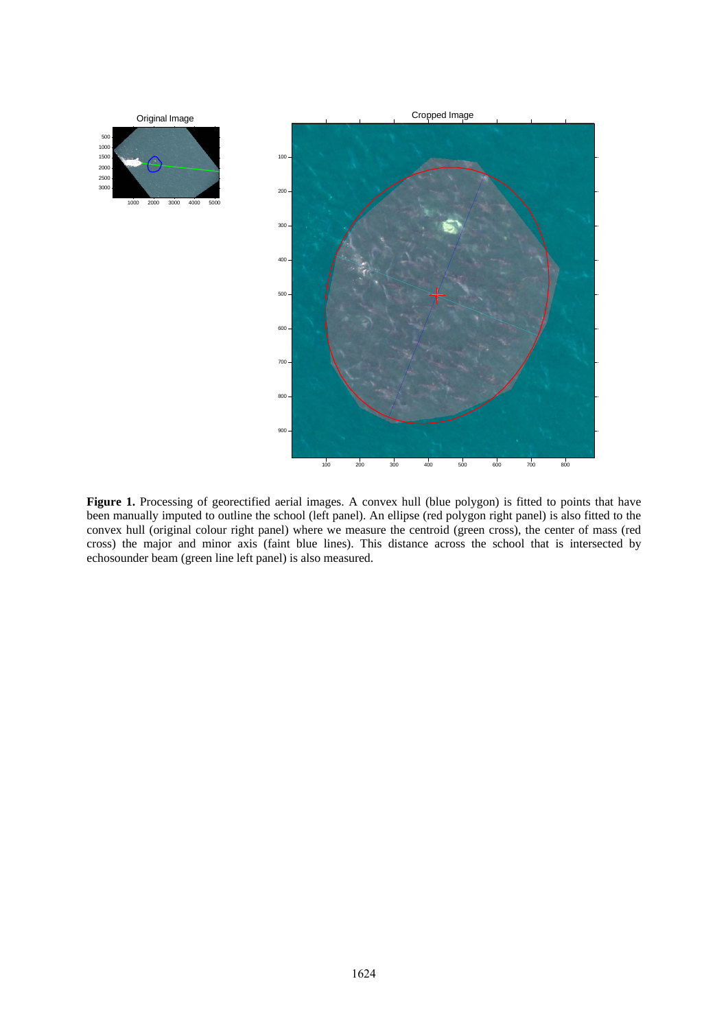

Figure 1. Processing of georectified aerial images. A convex hull (blue polygon) is fitted to points that have been manually imputed to outline the school (left panel). An ellipse (red polygon right panel) is also fitted to the convex hull (original colour right panel) where we measure the centroid (green cross), the center of mass (red cross) the major and minor axis (faint blue lines). This distance across the school that is intersected by echosounder beam (green line left panel) is also measured.